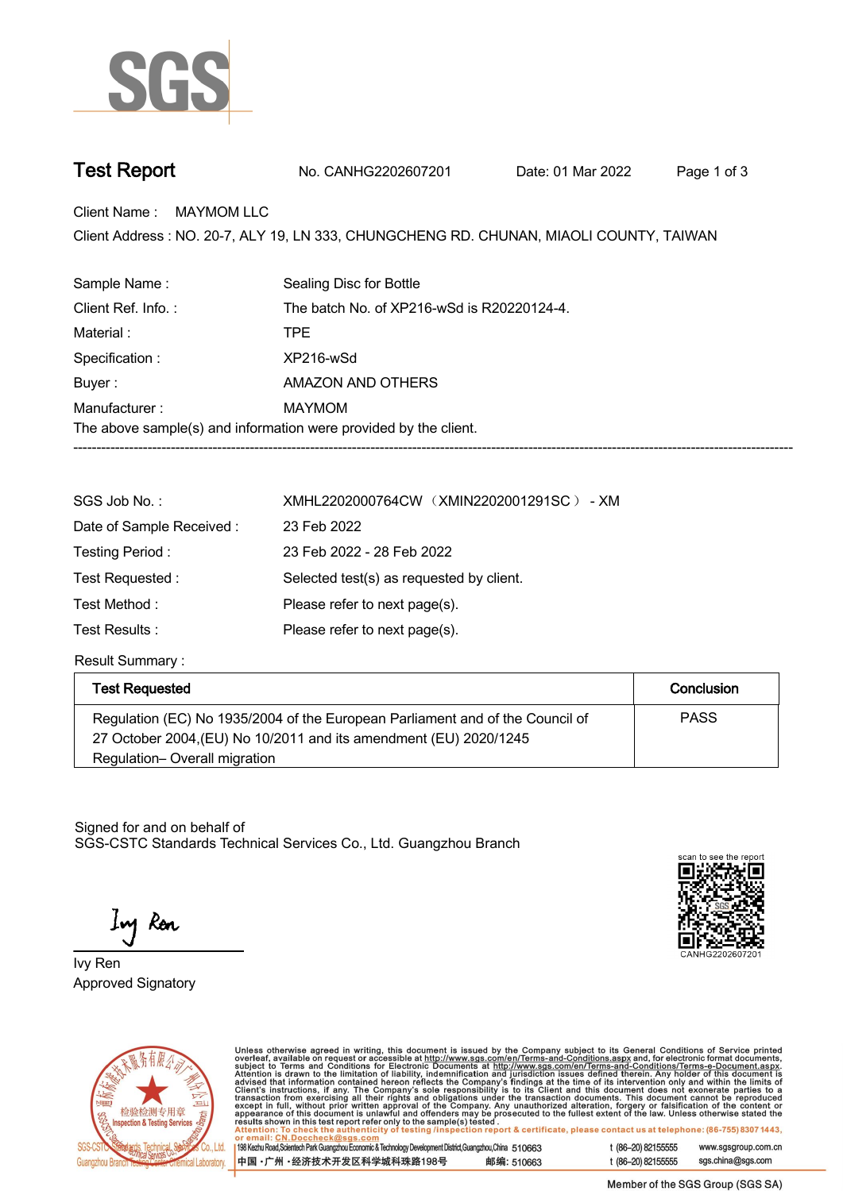

**Test Report. No. CANHG2202607201 . Date: 01 Mar 2022 . Page 1 of 3.**

**Client Name : MAYMOM LLC.**

Client Address : NO. 20-7, ALY 19, LN 333, CHUNGCHENG RD. CHUNAN, MIAOLI COUNTY, TAIWAN<br>.

| Sample Name:       | Sealing Disc for Bottle                                          |  |  |
|--------------------|------------------------------------------------------------------|--|--|
| Client Ref. Info.: | The batch No. of XP216-wSd is R20220124-4.                       |  |  |
| Material:          | <b>TPF</b>                                                       |  |  |
| Specification :    | XP216-wSd                                                        |  |  |
| Buyer:             | AMAZON AND OTHERS                                                |  |  |
| Manufacturer:      | MAYMOM                                                           |  |  |
|                    | The above sample(s) and information were provided by the client. |  |  |
|                    |                                                                  |  |  |

| SGS Job No.:             | XMHL2202000764CW (XMIN2202001291SC) - XM |  |  |
|--------------------------|------------------------------------------|--|--|
| Date of Sample Received: | 23 Feb 2022                              |  |  |
| Testing Period:          | 23 Feb 2022 - 28 Feb 2022                |  |  |
| Test Requested:          | Selected test(s) as requested by client. |  |  |
| Test Method :            | Please refer to next page(s).            |  |  |
| Test Results :           | Please refer to next page(s).            |  |  |

**Result Summary :.**

| <b>Test Requested</b>                                                         | Conclusion  |
|-------------------------------------------------------------------------------|-------------|
| Regulation (EC) No 1935/2004 of the European Parliament and of the Council of | <b>PASS</b> |
| 27 October 2004, (EU) No 10/2011 and its amendment (EU) 2020/1245             |             |
| Regulation-Overall migration                                                  |             |

Signed for and on behalf of SGS-CSTC Standards Technical Services Co., Ltd. Guangzhou Branch.

Ing Ren

CANHG220260720





Unless otherwise agreed in writing, this document is issued by the Company subject to its General Conditions of Service printed overleaf, available on request or accessible at http://www.sgs.com/en/Terms-and-Conditions.as

| 198 Kezhu Road, Scientech Park Guangzhou Economic & Technology Development District, Guangzhou, China 510663 |            |
|--------------------------------------------------------------------------------------------------------------|------------|
| 中国 •广州 •经济技术开发区科学城科珠路198号                                                                                    | 邮编: 510663 |

t (86-20) 82155555 www.sgsgroup.com.cn t (86-20) 82155555 sgs.china@sgs.com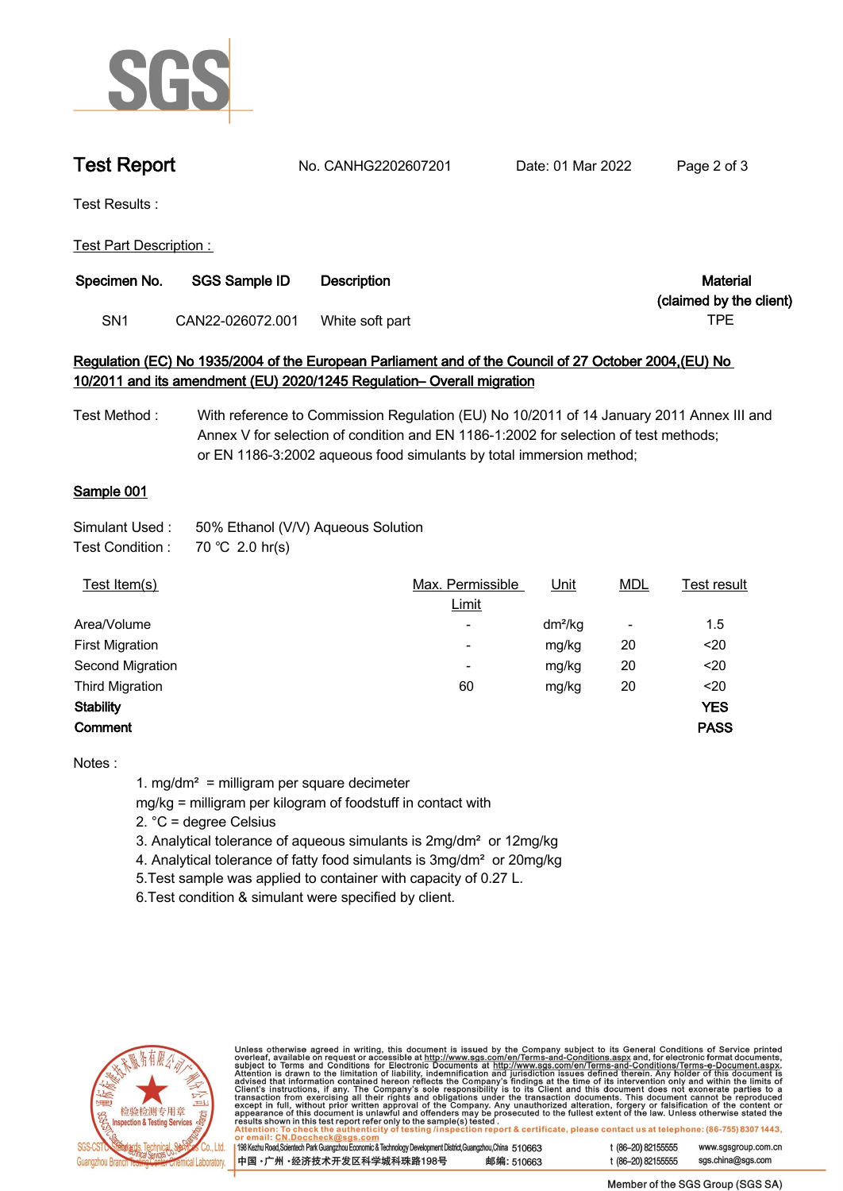

**Test Report. No. CANHG2202607201 . Date: 01 Mar 2022 . Page 2 of 3.**

**Test Results :.**

**Test Part Description : .**

| Specimen No. | <b>SGS Sample ID</b> | <b>Description</b> | Material                |
|--------------|----------------------|--------------------|-------------------------|
|              |                      |                    | (claimed by the client) |
| SN1          | CAN22-026072.001     | White soft part    | TPE                     |

# **Regulation (EC) No 1935/2004 of the European Parliament and of the Council of 27 October 2004,(EU) No 10/2011 and its amendment (EU) 2020/1245 Regulation– Overall migration**

**Test Method : With reference to Commission Regulation (EU) No 10/2011 of 14 January 2011 Annex III and Annex V for selection of condition and EN 1186-1:2002 for selection of test methods; or EN 1186-3:2002 aqueous food simulants by total immersion method;**

# **Sample 001.**

| Simulant Used : | 50% Ethanol (V/V) Aqueous Solution |
|-----------------|------------------------------------|
| T I A PP        | 70.000001                          |

| Test Condition : | 70 °C 2.0 hr(s) |  |
|------------------|-----------------|--|
|------------------|-----------------|--|

| Test Item(s)           | Max. Permissible         | Unit      | <b>MDL</b> | Test result |
|------------------------|--------------------------|-----------|------------|-------------|
|                        | Limit                    |           |            |             |
| Area/Volume            | $\overline{\phantom{a}}$ | $dm^2/kg$ | ٠          | 1.5         |
| <b>First Migration</b> | $\overline{\phantom{a}}$ | mg/kg     | 20         | $20$        |
| Second Migration       | $\overline{\phantom{0}}$ | mg/kg     | 20         | $20$        |
| <b>Third Migration</b> | 60                       | mg/kg     | 20         | $20$        |
| <b>Stability</b>       |                          |           |            | <b>YES</b>  |
| Comment                |                          |           |            | <b>PASS</b> |
|                        |                          |           |            |             |

**Notes :**

**1. mg/dm² = milligram per square decimeter**

**mg/kg = milligram per kilogram of foodstuff in contact with**

**2. °C = degree Celsius**

- **3. Analytical tolerance of aqueous simulants is 2mg/dm² or 12mg/kg**
- **4. Analytical tolerance of fatty food simulants is 3mg/dm² or 20mg/kg**
- **5.Test sample was applied to container with capacity of 0.27 L.**

**6.Test condition & simulant were specified by client. .**



Unless otherwise agreed in writing, this document is issued by the Company subject to its General Conditions of Service printed<br>overleaf, available on request or accessible at http://www.sgs.com/en/Terms-and-Conditions.as

| 198 Kezhu Road,Scientech Park Guangzhou Economic & Technology Development District,Guangzhou,China 510663 |            |
|-----------------------------------------------------------------------------------------------------------|------------|
| ┃中国 •广州 •经济技术开发区科学城科珠路198号                                                                                | 邮编: 510663 |

t (86-20) 82155555 www.sgsgroup.com.cn t (86-20) 82155555 sgs.china@sgs.com